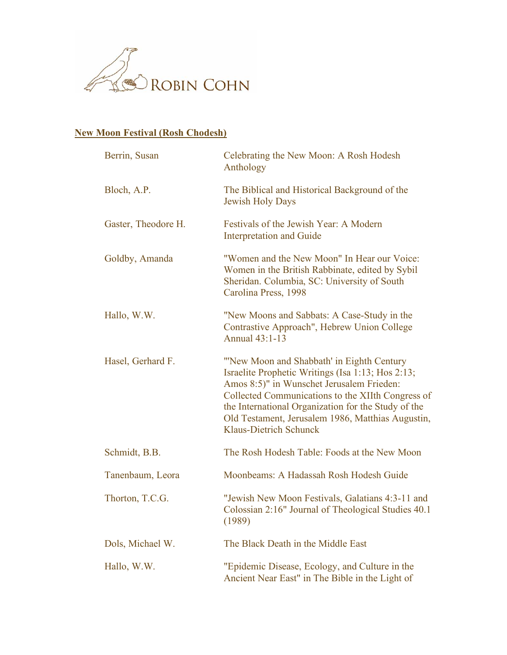

## **New Moon Festival (Rosh Chodesh)**

| Berrin, Susan       | Celebrating the New Moon: A Rosh Hodesh<br>Anthology                                                                                                                                                                                                                                                                                          |
|---------------------|-----------------------------------------------------------------------------------------------------------------------------------------------------------------------------------------------------------------------------------------------------------------------------------------------------------------------------------------------|
| Bloch, A.P.         | The Biblical and Historical Background of the<br><b>Jewish Holy Days</b>                                                                                                                                                                                                                                                                      |
| Gaster, Theodore H. | Festivals of the Jewish Year: A Modern<br><b>Interpretation and Guide</b>                                                                                                                                                                                                                                                                     |
| Goldby, Amanda      | "Women and the New Moon" In Hear our Voice:<br>Women in the British Rabbinate, edited by Sybil<br>Sheridan. Columbia, SC: University of South<br>Carolina Press, 1998                                                                                                                                                                         |
| Hallo, W.W.         | "New Moons and Sabbats: A Case-Study in the<br>Contrastive Approach", Hebrew Union College<br>Annual 43:1-13                                                                                                                                                                                                                                  |
| Hasel, Gerhard F.   | "New Moon and Shabbath' in Eighth Century<br>Israelite Prophetic Writings (Isa 1:13; Hos 2:13;<br>Amos 8:5)" in Wunschet Jerusalem Frieden:<br>Collected Communications to the XIIth Congress of<br>the International Organization for the Study of the<br>Old Testament, Jerusalem 1986, Matthias Augustin,<br><b>Klaus-Dietrich Schunck</b> |
| Schmidt, B.B.       | The Rosh Hodesh Table: Foods at the New Moon                                                                                                                                                                                                                                                                                                  |
| Tanenbaum, Leora    | Moonbeams: A Hadassah Rosh Hodesh Guide                                                                                                                                                                                                                                                                                                       |
| Thorton, T.C.G.     | "Jewish New Moon Festivals, Galatians 4:3-11 and<br>Colossian 2:16" Journal of Theological Studies 40.1<br>(1989)                                                                                                                                                                                                                             |
| Dols, Michael W.    | The Black Death in the Middle East                                                                                                                                                                                                                                                                                                            |
| Hallo, W.W.         | "Epidemic Disease, Ecology, and Culture in the<br>Ancient Near East" in The Bible in the Light of                                                                                                                                                                                                                                             |